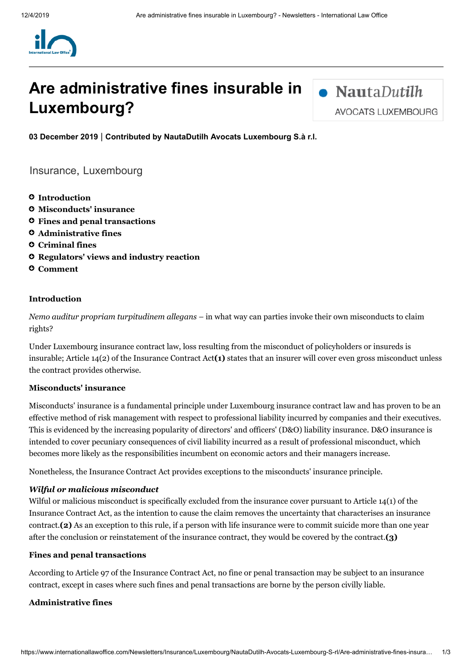

# **Are administrative fines insurable in Luxembourg?**

 $\bullet$  NautaDutilh **AVOCATS LUXEMBOURG** 

**03 December 2019** | **Contributed by NautaDutilh Avocats [Luxembourg](https://www.internationallawoffice.com/Directory/NautaDutilh-Avocats-Luxembourg-S-rl/Luxembourg) S.à r.l.**

[Insurance,](https://www.internationallawoffice.com/Search?at=Updates&cfn=NautaDutilh+Avocats+Luxembourg+S.%c3%a0+r.l.&ws=Insurance) [Luxembourg](https://www.internationallawoffice.com/Search?at=Updates&cfn=NautaDutilh+Avocats+Luxembourg+S.%c3%a0+r.l.&js=Luxembourg)

- **[Introduction](#page-0-0)**
- **[Misconducts'](#page-0-1) insurance**
- **Fines and penal [transactions](#page-0-2)**
- **[Administrative](#page-0-3) fines**
- **[Criminal](#page-1-0) fines**
- **Regulators' views and industry reaction**
- **[Comment](#page-1-1)**

## <span id="page-0-0"></span>**Introduction**

*Nemo auditur propriam turpitudinem allegans –* in what way can parties invoke their own misconducts to claim rights?

Under Luxembourg insurance contract law, loss resulting from the misconduct of policyholders or insureds is insurable; Article 14(2) of the Insurance Contract Act**[\(1\)](#page-1-2)** states that an insurer will cover even gross misconduct unless the contract provides otherwise.

### <span id="page-0-1"></span>**Misconducts' insurance**

Misconducts' insurance is a fundamental principle under Luxembourg insurance contract law and has proven to be an effective method of risk management with respect to professional liability incurred by companies and their executives. This is evidenced by the increasing popularity of directors' and officers' (D&O) liability insurance. D&O insurance is intended to cover pecuniary consequences of civil liability incurred as a result of professional misconduct, which becomes more likely as the responsibilities incumbent on economic actors and their managers increase.

Nonetheless, the Insurance Contract Act provides exceptions to the misconducts' insurance principle.

#### *Wilful or malicious misconduct*

Wilful or malicious misconduct is specifically excluded from the insurance cover pursuant to Article 14(1) of the Insurance Contract Act, as the intention to cause the claim removes the uncertainty that characterises an insurance contract.**[\(2\)](#page-2-0)** As an exception to this rule, if a person with life insurance were to commit suicide more than one year after the conclusion or reinstatement of the insurance contract, they would be covered by the contract.**[\(3\)](#page-2-1)**

#### <span id="page-0-2"></span>**Fines and penal transactions**

According to Article 97 of the Insurance Contract Act, no fine or penal transaction may be subject to an insurance contract, except in cases where such fines and penal transactions are borne by the person civilly liable.

#### <span id="page-0-3"></span>**Administrative fines**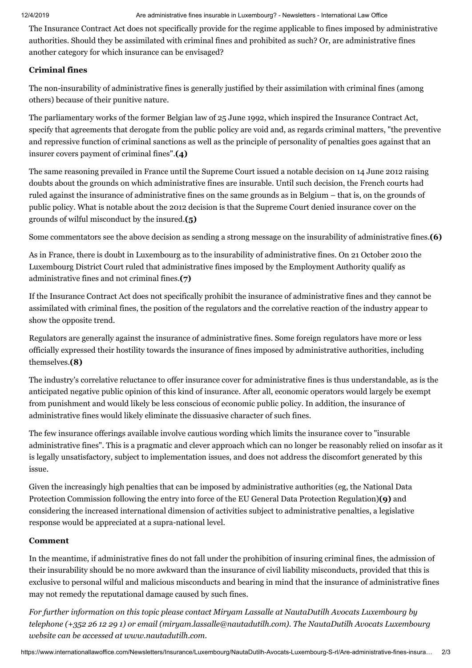The Insurance Contract Act does not specifically provide for the regime applicable to fines imposed by administrative authorities. Should they be assimilated with criminal fines and prohibited as such? Or, are administrative fines another category for which insurance can be envisaged?

## <span id="page-1-0"></span>**Criminal fines**

The non-insurability of administrative fines is generally justified by their assimilation with criminal fines (among others) because of their punitive nature.

The parliamentary works of the former Belgian law of 25 June 1992, which inspired the Insurance Contract Act, specify that agreements that derogate from the public policy are void and, as regards criminal matters, "the preventive and repressive function of criminal sanctions as well as the principle of personality of penalties goes against that an insurer covers payment of criminal fines".**[\(4\)](#page-2-2)**

The same reasoning prevailed in France until the Supreme Court issued a notable decision on 14 June 2012 raising doubts about the grounds on which administrative fines are insurable. Until such decision, the French courts had ruled against the insurance of administrative fines on the same grounds as in Belgium – that is, on the grounds of public policy. What is notable about the 2012 decision is that the Supreme Court denied insurance cover on the grounds of wilful misconduct by the insured.**[\(5\)](#page-2-3)**

Some commentators see the above decision as sending a strong message on the insurability of administrative fines.**[\(6\)](#page-2-4)**

As in France, there is doubt in Luxembourg as to the insurability of administrative fines. On 21 October 2010 the Luxembourg District Court ruled that administrative fines imposed by the Employment Authority qualify as administrative fines and not criminal fines.**[\(7\)](#page-2-5)**

If the Insurance Contract Act does not specifically prohibit the insurance of administrative fines and they cannot be assimilated with criminal fines, the position of the regulators and the correlative reaction of the industry appear to show the opposite trend.

Regulators are generally against the insurance of administrative fines. Some foreign regulators have more or less officially expressed their hostility towards the insurance of fines imposed by administrative authorities, including themselves.**[\(8\)](#page-2-6)**

The industry's correlative reluctance to offer insurance cover for administrative fines is thus understandable, as is the anticipated negative public opinion of this kind of insurance. After all, economic operators would largely be exempt from punishment and would likely be less conscious of economic public policy. In addition, the insurance of administrative fines would likely eliminate the dissuasive character of such fines.

The few insurance offerings available involve cautious wording which limits the insurance cover to "insurable administrative fines". This is a pragmatic and clever approach which can no longer be reasonably relied on insofar as it is legally unsatisfactory, subject to implementation issues, and does not address the discomfort generated by this issue.

Given the increasingly high penalties that can be imposed by administrative authorities (eg, the National Data Protection Commission following the entry into force of the EU General Data Protection Regulation)**[\(9\)](#page-2-7)** and considering the increased international dimension of activities subject to administrative penalties, a legislative response would be appreciated at a supra-national level.

# <span id="page-1-1"></span>**Comment**

In the meantime, if administrative fines do not fall under the prohibition of insuring criminal fines, the admission of their insurability should be no more awkward than the insurance of civil liability misconducts, provided that this is exclusive to personal wilful and malicious misconducts and bearing in mind that the insurance of administrative fines may not remedy the reputational damage caused by such fines.

<span id="page-1-2"></span>*For further information on this topic please contact [Miryam](https://www.internationallawoffice.com/Directory/NautaDutilh/Luxembourg/Miryam-Lassalle) Lassalle at NautaDutilh Avocats Luxembourg by telephone (+352 26 12 29 1) or email ([miryam.lassalle@nautadutilh.com](mailto:miryam.lassalle@nautadutilh.com?subject=Article%20on%20ILO)). The NautaDutilh Avocats Luxembourg website can be accessed at [www.nautadutilh.com.](http://www.nautadutilh.com/)*